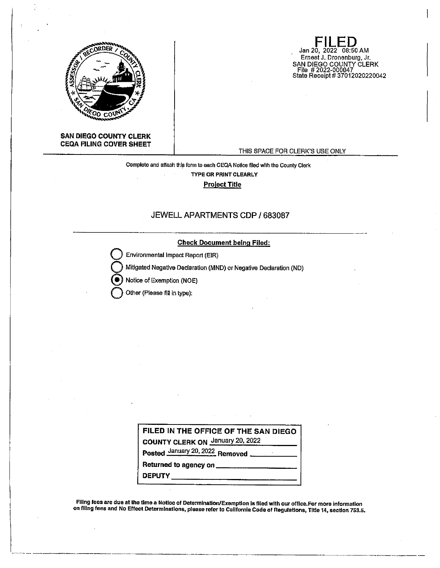

**SAN DIEGO COUNTY CLERK CEQA FILING COVER SHEET** 

# THIS SPACE FOR CLERK'S USE ONLY

**FILED**  Jan 20, 2022 08:50 AM Ernest J. Dronenburg, Jr.

SAN DIEGO COUNTY CLERK File # 2022-000047 State Receipt# 37012020220042

# Complete and attach this form to each CEQA Notice filed with the County Clerk **TYPE OR PRINT CLEARLY Project Tille**

## JEWELL APARTMENTS CDP/ 683087

#### **Check Document being Filed:**

**Environmental Impact Report (EIR)** 

**Q** Mitigated Negative Declaration (MND) or Negative Declaration (ND)

Notice of Exemption (NOE)

**Q** Other (Please fill in type):

| FILED IN THE OFFICE OF THE SAN DIEGO    |
|-----------------------------------------|
| <b>COUNTY CLERK ON January 20, 2022</b> |
| Posted January 20, 2022 Removed         |
|                                         |
| <b>DEPUTY</b>                           |

Filing fees are due at the time a Notice of Determination/Exemption is filed with our office.For more information on flllng fees and No Effect Determinations, please refer to California Code of Regulatlons, TIiie 14, section 753.5.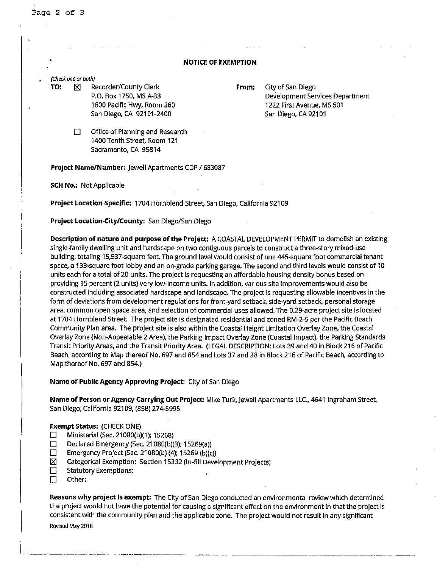#### **NOTICE OF EXEMPTION**

(Check one or both)

**TO:**  $\boxtimes$  Recorder/County Clerk **From:** City of San Diego P.O. Box 1750, MS A-33 1600 Pacific Hwy, Room 260 San Diego, CA 92101-2400

Development Services Department 1222 First Avenue, MS 501 San Diego, CA 92101

 $\Box$  Office of Planning and Research 1400 Tenth Street, Room 121 Sacramento, CA 95814

**Project Name/Number:** Jewell Apartments CDP/ 683087

**SCH No.:** Not Applicable

**Project Location-Specific:** 1704 Hornblend Street, San Diego, California 92109

**Project Location-City/County:** San Diego/San Diego

**Description of nature and purpose of the Project:** A COASTAL DEVELOPMENT PERMIT to demolish an existing single-family dwelling unit and hardscape on two contiguous parcels to construct a three-story mixed-use building, totaling 15,937-square feet. The ground level would consist of one 445-square foot commercial tenant space, a 133-square foot lobby and an on-grade parking garage. The second and third levels would consist of 10 units each for a total of 20 units. The project is requesting an affordable housing density bonus based on providing 15 percent (2 units) very low-Income units. In addition, various site improvements would also be constructed Including associated hardscape and landscape. The project is requesting allowable incentives in the form of deviations from development regulations for front-yard setback, side-yard setback, personal storage area, common open space area, and selection of commercial uses allowed. The 0.29-acre project site is located at 1704 Hornblend Street. The project site Is designated residential and zoned RM-2-5 per the Pacific Beach Community Plan area. The project site is also within the Coastal Height Limitation Overlay Zone, the Coastal Overlay Zone (Non-Appealable 2 Area), the Parking Impact Overlay Zone (Coastal Impact), the Parking Standards Transit Priority Areas, and the Transit Priority Area. (LEGAL DESCRIPTION: Lots 39 and 40 in Block 216 of Pacific Beach, according to Map thereof No. 697 and 854 and Lots 37 and 38 in Block 216 of Pacific Beach, according to Map thereof No. 697 and 854.)

**Name of Public Agency Approving Project:** City of San Diego

**Name of Person or Agency Carrying Out Project:** Mike Turk,Jewell Apartments LLC., 4641 Ingraham Street, San Diego, California 92109, (858) 274-5995

#### **Exempt Status:** (CHECK ONE)

- D Ministerial (Sec. 21080(b)(1); 15268)
- $\Box$  Declared Emergency (Sec. 21080(b)(3); 15269(a))
- $\Box$  Emergency Project (Sec. 21080(b) (4); 15269 (b)(c))
- [21 Categorical Exemption: Section 15332 (In-fill Development Projects)
- Statutory Exemptions:
- $\Box$  Other:

**Reasons why project is exempt:** The City of San Diego conducted an environmental review which determined the project would not have the potential for causing a significant effect on the environment in that the project is consistent with the community plan and the applicable zone. The project would not result in any significant

------·--·-----·-- - ---·------------------------------------- -----

Revised May 2018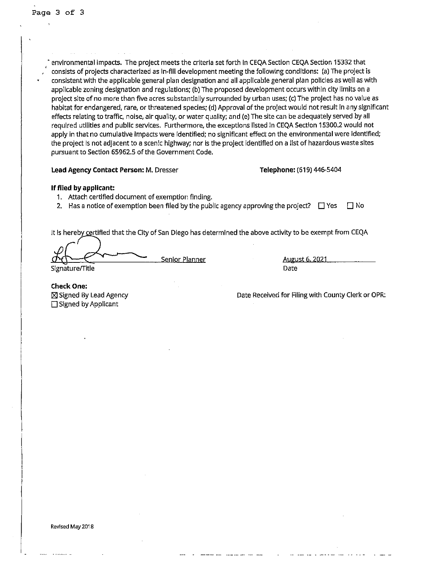• environmental impacts. The project meets the criteria set forth In CEQA Section CEQA Section 15332 that ' consists of projects characterized as In-fill development meeting the following conditions: (a) The project is consistent with the applicable general plan designation and all applicable general plan policies as well as with applicable zoning designation and regulations; (b) The proposed development occurs within city limits on a project site of no more than five acres substantially surrounded by urban uses; (c) The project has no value as habitat for endangered, rare, or threatened species; (d) Approval of the project would not result in any significant effects relating to traffic, noise, air quality, or water quality; and (e) The site can be adequately served by all required utilities and public services. Furthermore, the exceptions listed In CEQA Section 15300.2 would not apply in that no cumulative impacts were Identified; no significant effect on the environmental were identified; the project is not adjacent to a scenic highway; nor is the project identified on a list of hazardous waste sites pursuant to Section 65962.S of the Government Code.

### Lead Agency Contact Person: M. Dresser **Telephone:** (619) 446-5404

#### **If filed by applicant:**

- 1. Attach certified document of exemption finding.
- 2. Has a notice of exemption been filed by the public agency approving the project?  $\Box$  Yes  $\Box$  No

It is hereby certified that the City of San Diego has determined the above activity to be exempt from CEQA

**France Senior Planner August 6, 2021** Date

Signature/Title

**Check one:**  ⊠ Signed By Lead Agency  $\Box$  Signed by Applicant

Date Received for Filing with County Clerk or OPR: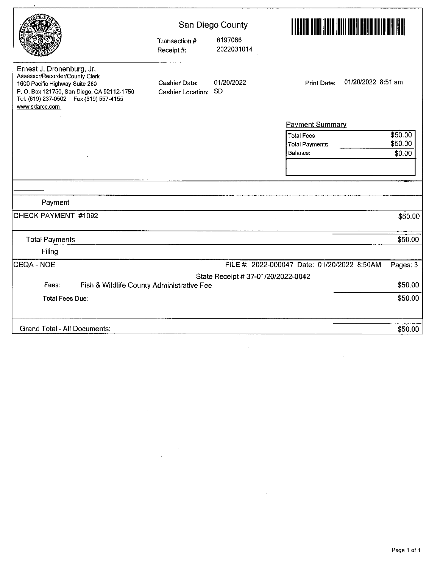|                                                                                                                                                                                                         |                                    | San Diego County                   |                                             | <u>HERE AND AND AN HERE AND A BEEN AND A BEEN AND A BEEN AND A BEEN AND A BEEN AND A BEEN AND A BEEN AND A BEEN A</u> |  |  |
|---------------------------------------------------------------------------------------------------------------------------------------------------------------------------------------------------------|------------------------------------|------------------------------------|---------------------------------------------|-----------------------------------------------------------------------------------------------------------------------|--|--|
|                                                                                                                                                                                                         | Transaction #:<br>Receipt #:       | 6197066<br>2022031014              |                                             |                                                                                                                       |  |  |
| Ernest J. Dronenburg, Jr.<br>Assessor/Recorder/County Clerk<br>1600 Pacific Highway Suite 260<br>P.O. Box 121750, San Diego, CA 92112-1750<br>Tel. (619) 237-0502  Fax (619) 557-4155<br>www.sdarcc.com | Cashier Date:<br>Cashier Location: | 01/20/2022<br><b>SD</b>            | 01/20/2022 8:51 am<br><b>Print Date:</b>    |                                                                                                                       |  |  |
|                                                                                                                                                                                                         |                                    |                                    | <b>Payment Summary</b>                      |                                                                                                                       |  |  |
|                                                                                                                                                                                                         |                                    |                                    | <b>Total Fees:</b>                          | \$50.00                                                                                                               |  |  |
|                                                                                                                                                                                                         |                                    |                                    | <b>Total Payments</b>                       | \$50.00                                                                                                               |  |  |
|                                                                                                                                                                                                         |                                    |                                    | Balance:                                    | \$0.00                                                                                                                |  |  |
|                                                                                                                                                                                                         |                                    |                                    |                                             |                                                                                                                       |  |  |
|                                                                                                                                                                                                         |                                    |                                    |                                             |                                                                                                                       |  |  |
|                                                                                                                                                                                                         |                                    |                                    |                                             |                                                                                                                       |  |  |
| Payment                                                                                                                                                                                                 |                                    |                                    |                                             |                                                                                                                       |  |  |
| CHECK PAYMENT #1092                                                                                                                                                                                     |                                    |                                    |                                             | \$50.00                                                                                                               |  |  |
| <b>Total Payments</b>                                                                                                                                                                                   |                                    |                                    |                                             | \$50.00                                                                                                               |  |  |
| Filing                                                                                                                                                                                                  |                                    |                                    |                                             |                                                                                                                       |  |  |
| CEQA - NOE                                                                                                                                                                                              |                                    |                                    | FILE #: 2022-000047 Date: 01/20/2022 8:50AM | Pages: 3                                                                                                              |  |  |
|                                                                                                                                                                                                         |                                    | State Receipt # 37-01/20/2022-0042 |                                             |                                                                                                                       |  |  |
| Fees:<br>Fish & Wildlife County Administrative Fee                                                                                                                                                      |                                    |                                    |                                             | \$50.00                                                                                                               |  |  |
| <b>Total Fees Due:</b>                                                                                                                                                                                  |                                    |                                    |                                             | \$50.00                                                                                                               |  |  |
| <b>Grand Total - All Documents:</b>                                                                                                                                                                     |                                    |                                    |                                             | \$50.00                                                                                                               |  |  |
|                                                                                                                                                                                                         |                                    |                                    |                                             |                                                                                                                       |  |  |

 $\label{eq:2} \frac{1}{\sqrt{2}}\left(\frac{1}{\sqrt{2}}\right)^{2} \left(\frac{1}{\sqrt{2}}\right)^{2} \left(\frac{1}{\sqrt{2}}\right)^{2}$ 

 $\mathcal{L}^{\text{max}}_{\text{max}}$  and  $\mathcal{L}^{\text{max}}_{\text{max}}$ 

 $\label{eq:2} \frac{1}{\sqrt{2}}\left(\frac{1}{\sqrt{2}}\right)^{2} \left(\frac{1}{\sqrt{2}}\right)^{2}$ 

 $\mathcal{L}^{\text{max}}_{\text{max}}$